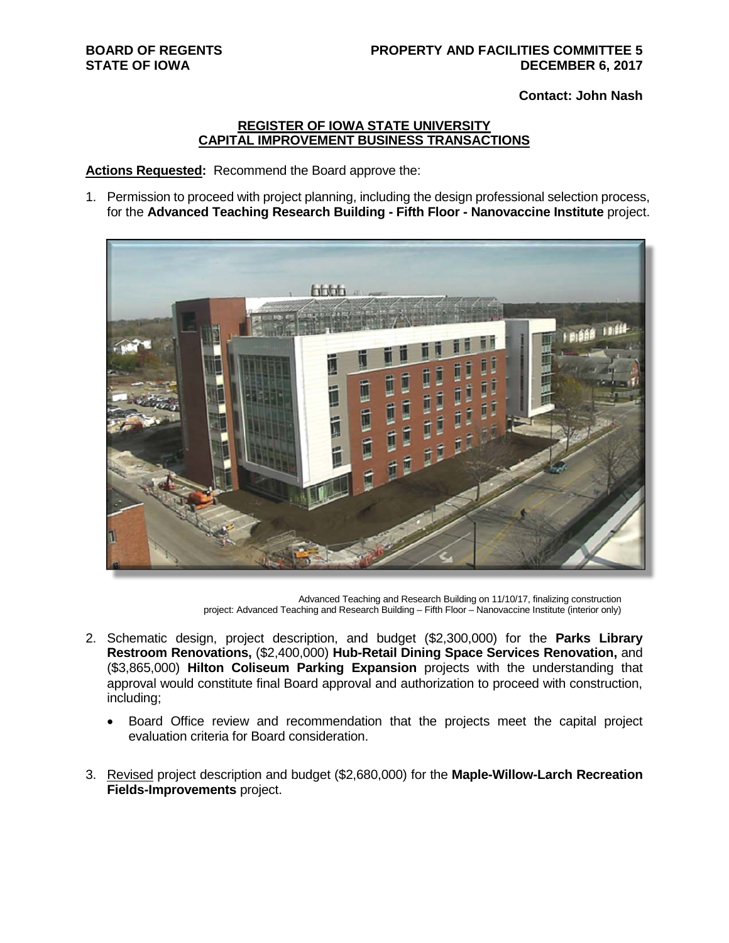**Contact: John Nash** 

#### **REGISTER OF IOWA STATE UNIVERSITY CAPITAL IMPROVEMENT BUSINESS TRANSACTIONS**

**Actions Requested:** Recommend the Board approve the:

1. Permission to proceed with project planning, including the design professional selection process, for the **Advanced Teaching Research Building - Fifth Floor - Nanovaccine Institute** project.



Advanced Teaching and Research Building on 11/10/17, finalizing construction project: Advanced Teaching and Research Building – Fifth Floor – Nanovaccine Institute (interior only)

- 2. Schematic design, project description, and budget (\$2,300,000) for the **Parks Library Restroom Renovations,** (\$2,400,000) **Hub-Retail Dining Space Services Renovation,** and (\$3,865,000) **Hilton Coliseum Parking Expansion** projects with the understanding that approval would constitute final Board approval and authorization to proceed with construction, including;
	- Board Office review and recommendation that the projects meet the capital project evaluation criteria for Board consideration.
- 3. Revised project description and budget (\$2,680,000) for the **Maple-Willow-Larch Recreation Fields-Improvements** project.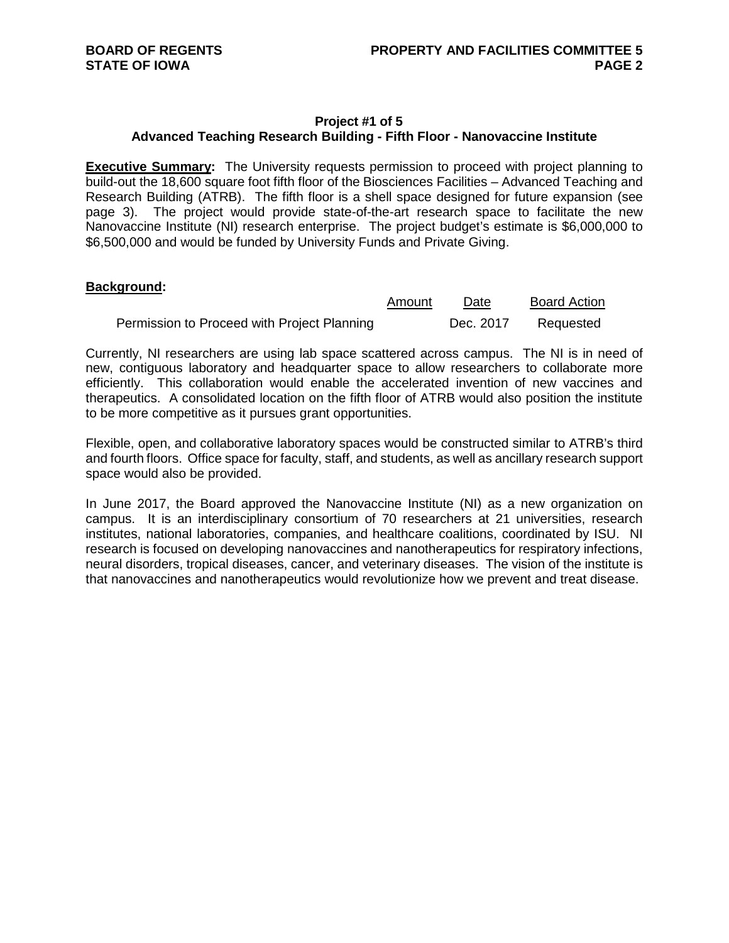#### **Project #1 of 5 Advanced Teaching Research Building - Fifth Floor - Nanovaccine Institute**

**Executive Summary:** The University requests permission to proceed with project planning to build-out the 18,600 square foot fifth floor of the Biosciences Facilities – Advanced Teaching and Research Building (ATRB). The fifth floor is a shell space designed for future expansion (see page 3). The project would provide state-of-the-art research space to facilitate the new Nanovaccine Institute (NI) research enterprise. The project budget's estimate is \$6,000,000 to \$6,500,000 and would be funded by University Funds and Private Giving.

#### **Background:**

|                                             | Amount | Date      | <b>Board Action</b> |
|---------------------------------------------|--------|-----------|---------------------|
| Permission to Proceed with Project Planning |        | Dec. 2017 | Requested           |

Currently, NI researchers are using lab space scattered across campus. The NI is in need of new, contiguous laboratory and headquarter space to allow researchers to collaborate more efficiently. This collaboration would enable the accelerated invention of new vaccines and therapeutics. A consolidated location on the fifth floor of ATRB would also position the institute to be more competitive as it pursues grant opportunities.

Flexible, open, and collaborative laboratory spaces would be constructed similar to ATRB's third and fourth floors. Office space for faculty, staff, and students, as well as ancillary research support space would also be provided.

In June 2017, the Board approved the Nanovaccine Institute (NI) as a new organization on campus. It is an interdisciplinary consortium of 70 researchers at 21 universities, research institutes, national laboratories, companies, and healthcare coalitions, coordinated by ISU. NI research is focused on developing nanovaccines and nanotherapeutics for respiratory infections, neural disorders, tropical diseases, cancer, and veterinary diseases. The vision of the institute is that nanovaccines and nanotherapeutics would revolutionize how we prevent and treat disease.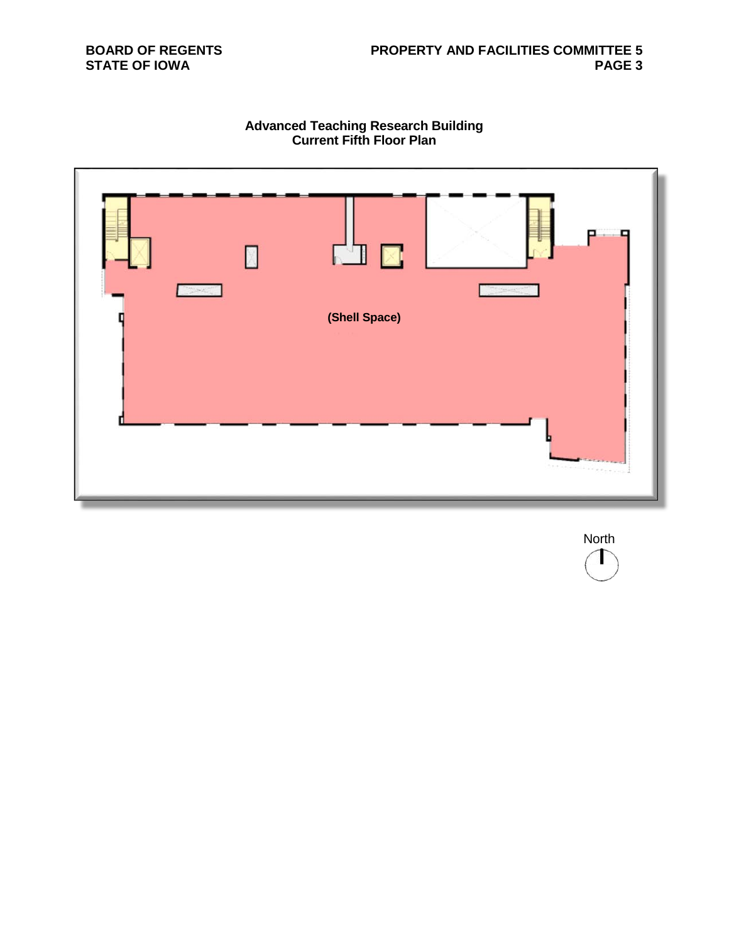## **BOARD OF REGENTS STATE OF IOWA**

## **Advanced Teaching Research Building Current Fifth Floor Plan**



North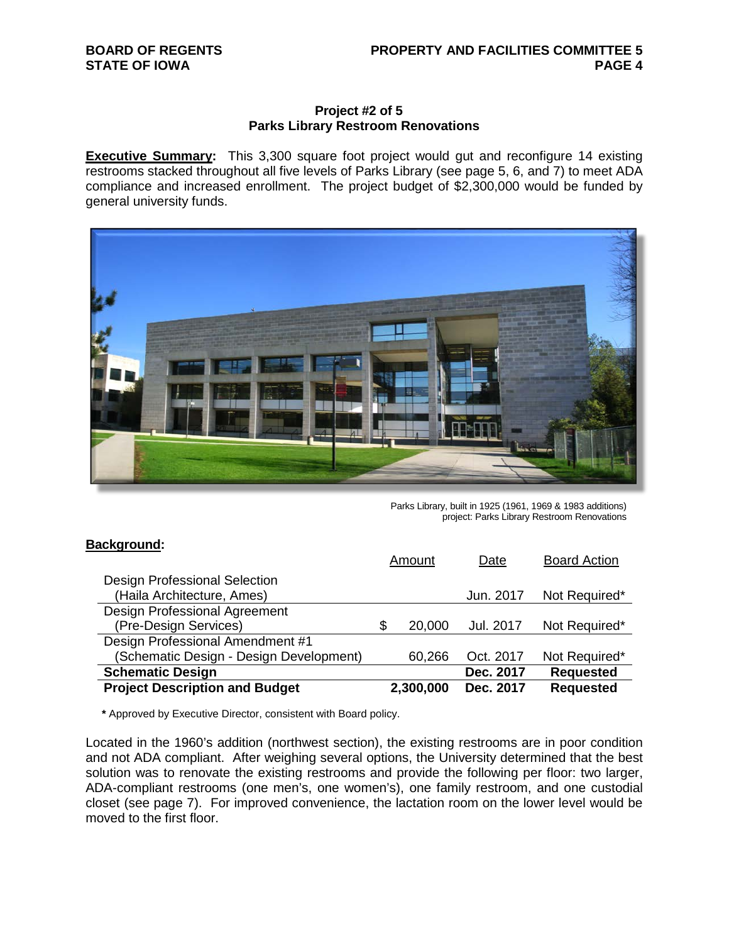### **BOARD OF REGENTS STATE OF IOWA**

#### **Project #2 of 5 Parks Library Restroom Renovations**

**Executive Summary:** This 3,300 square foot project would gut and reconfigure 14 existing restrooms stacked throughout all five levels of Parks Library (see page 5, 6, and 7) to meet ADA compliance and increased enrollment. The project budget of \$2,300,000 would be funded by general university funds.



Parks Library, built in 1925 (1961, 1969 & 1983 additions) project: Parks Library Restroom Renovations

| <b>Background:</b>                      |              |           |                     |
|-----------------------------------------|--------------|-----------|---------------------|
|                                         | Amount       | Date      | <b>Board Action</b> |
| Design Professional Selection           |              |           |                     |
| (Haila Architecture, Ames)              |              | Jun. 2017 | Not Required*       |
| <b>Design Professional Agreement</b>    |              |           |                     |
| (Pre-Design Services)                   | \$<br>20,000 | Jul. 2017 | Not Required*       |
| Design Professional Amendment #1        |              |           |                     |
| (Schematic Design - Design Development) | 60,266       | Oct. 2017 | Not Required*       |
| <b>Schematic Design</b>                 |              | Dec. 2017 | <b>Requested</b>    |
| <b>Project Description and Budget</b>   | 2,300,000    | Dec. 2017 | <b>Requested</b>    |

**\*** Approved by Executive Director, consistent with Board policy.

Located in the 1960's addition (northwest section), the existing restrooms are in poor condition and not ADA compliant. After weighing several options, the University determined that the best solution was to renovate the existing restrooms and provide the following per floor: two larger, ADA-compliant restrooms (one men's, one women's), one family restroom, and one custodial closet (see page 7). For improved convenience, the lactation room on the lower level would be moved to the first floor.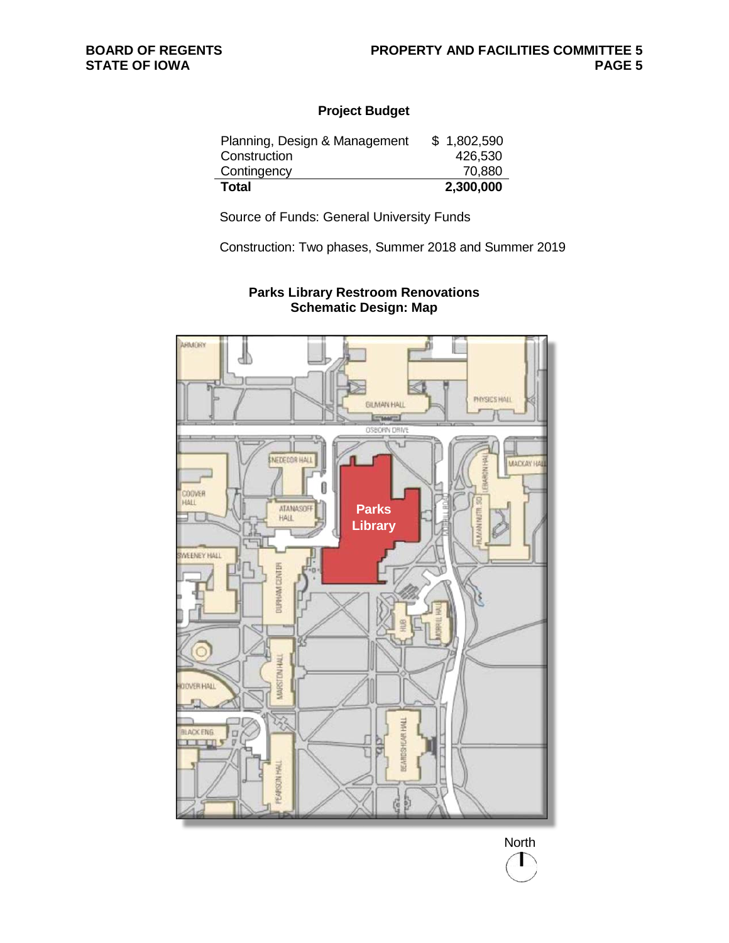## **Project Budget**

| Planning, Design & Management | \$1,802,590 |
|-------------------------------|-------------|
| Construction                  | 426,530     |
| Contingency                   | 70,880      |
| <b>Total</b>                  | 2,300,000   |

Source of Funds: General University Funds

Construction: Two phases, Summer 2018 and Summer 2019



## **Parks Library Restroom Renovations Schematic Design: Map**

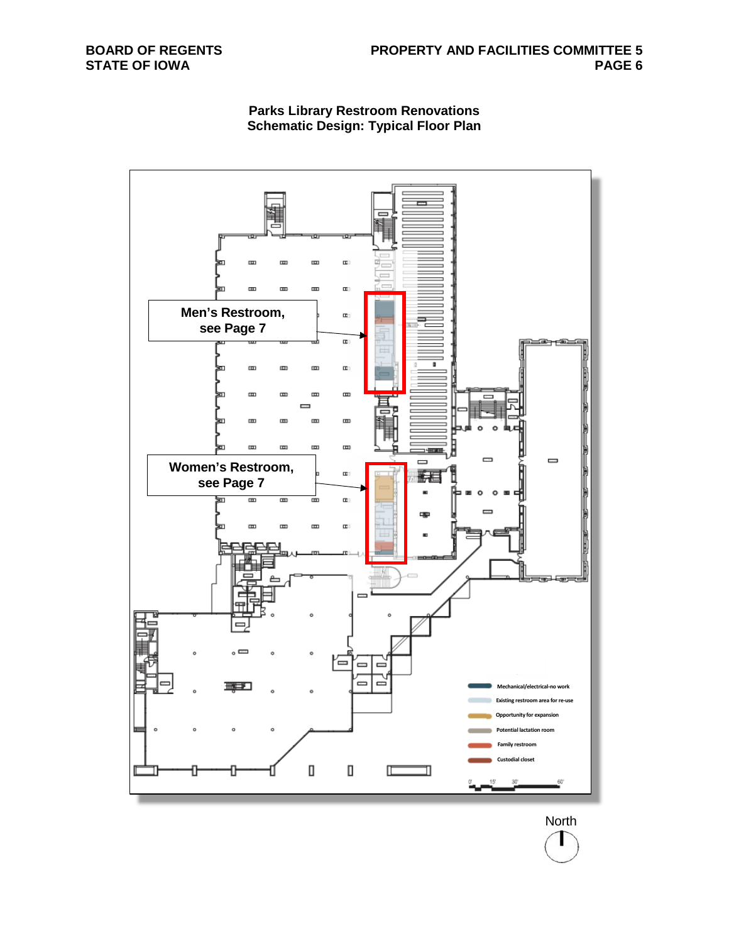

## **Parks Library Restroom Renovations Schematic Design: Typical Floor Plan**

North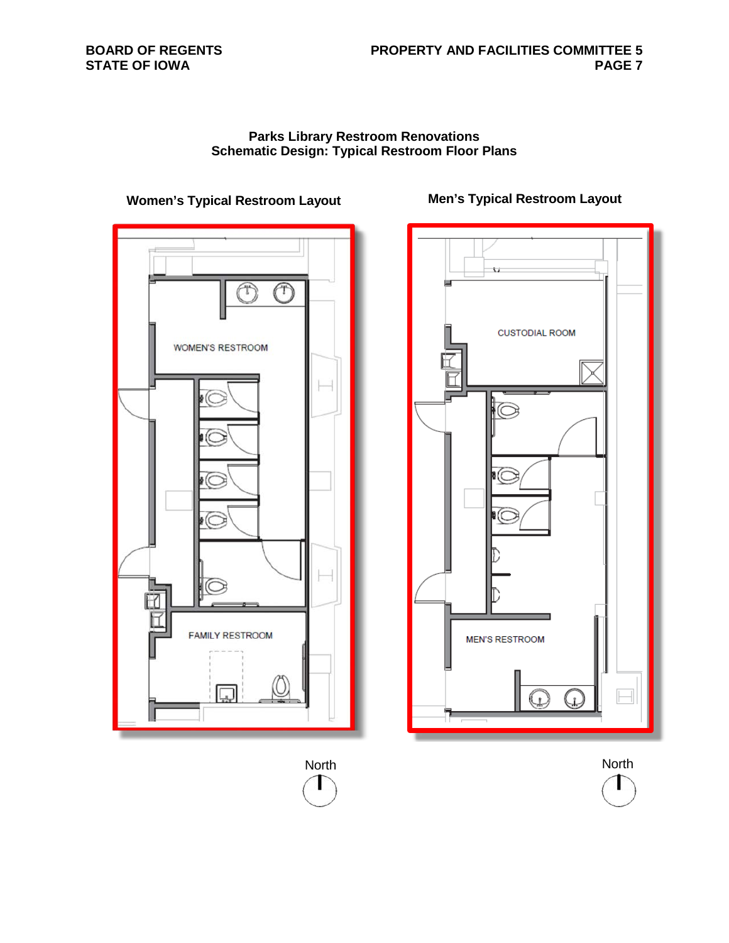## **BOARD OF REGENTS STATE OF IOWA**

### **Parks Library Restroom Renovations Schematic Design: Typical Restroom Floor Plans**



# **Women's Typical Restroom Layout Men's Typical Restroom Layout**



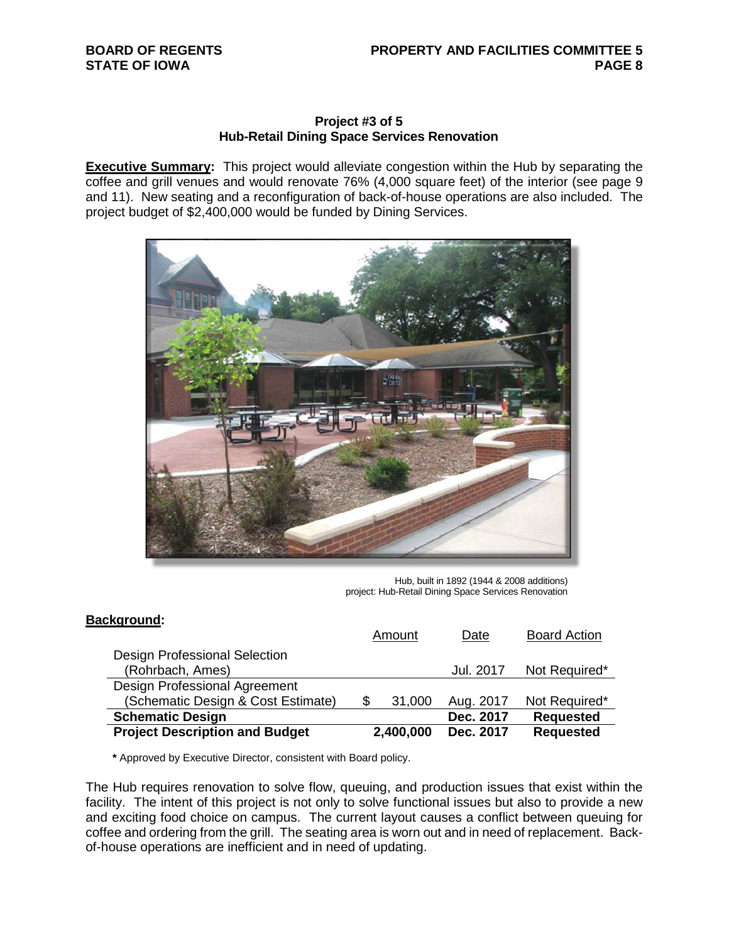#### **Project #3 of 5 Hub-Retail Dining Space Services Renovation**

**Executive Summary:** This project would alleviate congestion within the Hub by separating the coffee and grill venues and would renovate 76% (4,000 square feet) of the interior (see page 9 and 11). New seating and a reconfiguration of back-of-house operations are also included. The project budget of \$2,400,000 would be funded by Dining Services.



Hub, built in 1892 (1944 & 2008 additions) project: Hub-Retail Dining Space Services Renovation

## **Background:**

|                                                   | Amount       | Date      | <b>Board Action</b> |
|---------------------------------------------------|--------------|-----------|---------------------|
| Design Professional Selection<br>(Rohrbach, Ames) |              | Jul. 2017 | Not Required*       |
|                                                   |              |           |                     |
| Design Professional Agreement                     |              |           |                     |
| (Schematic Design & Cost Estimate)                | \$<br>31,000 | Aug. 2017 | Not Required*       |
| <b>Schematic Design</b>                           |              | Dec. 2017 | <b>Requested</b>    |
| <b>Project Description and Budget</b>             | 2,400,000    | Dec. 2017 | <b>Requested</b>    |

**\*** Approved by Executive Director, consistent with Board policy.

The Hub requires renovation to solve flow, queuing, and production issues that exist within the facility. The intent of this project is not only to solve functional issues but also to provide a new and exciting food choice on campus. The current layout causes a conflict between queuing for coffee and ordering from the grill. The seating area is worn out and in need of replacement. Backof-house operations are inefficient and in need of updating.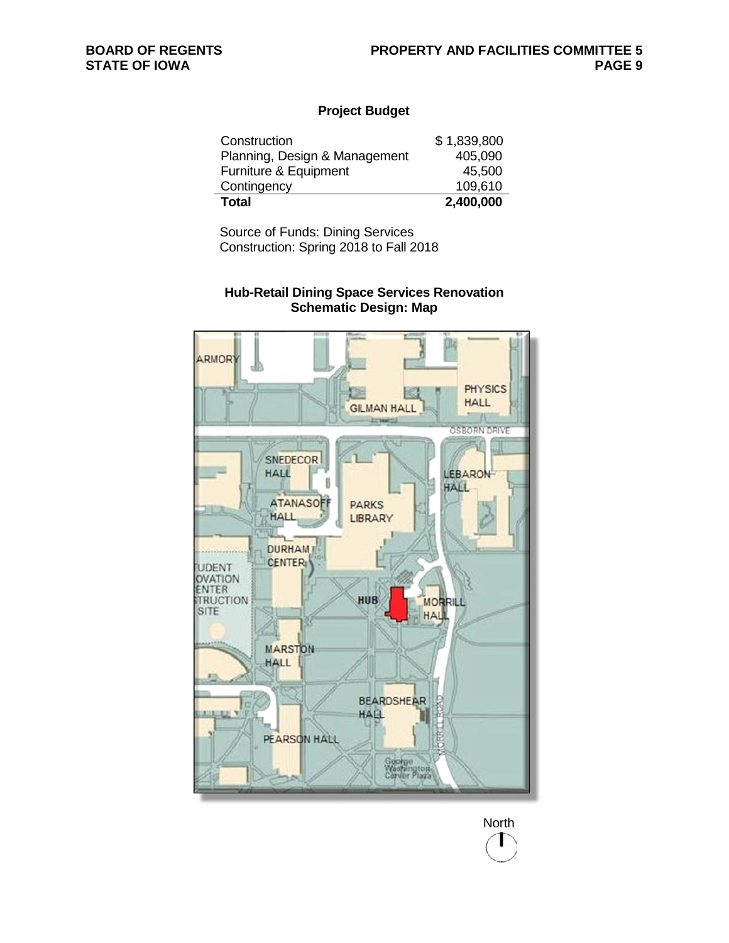$\overline{a}$ 

## **Project Budget**

| Construction                  | \$1,839,800 |
|-------------------------------|-------------|
| Planning, Design & Management | 405,090     |
| Furniture & Equipment         | 45,500      |
| Contingency                   | 109,610     |
| <b>Total</b>                  | 2,400,000   |

Source of Funds: Dining Services Construction: Spring 2018 to Fall 2018

## **Hub-Retail Dining Space Services Renovation Schematic Design: Map**



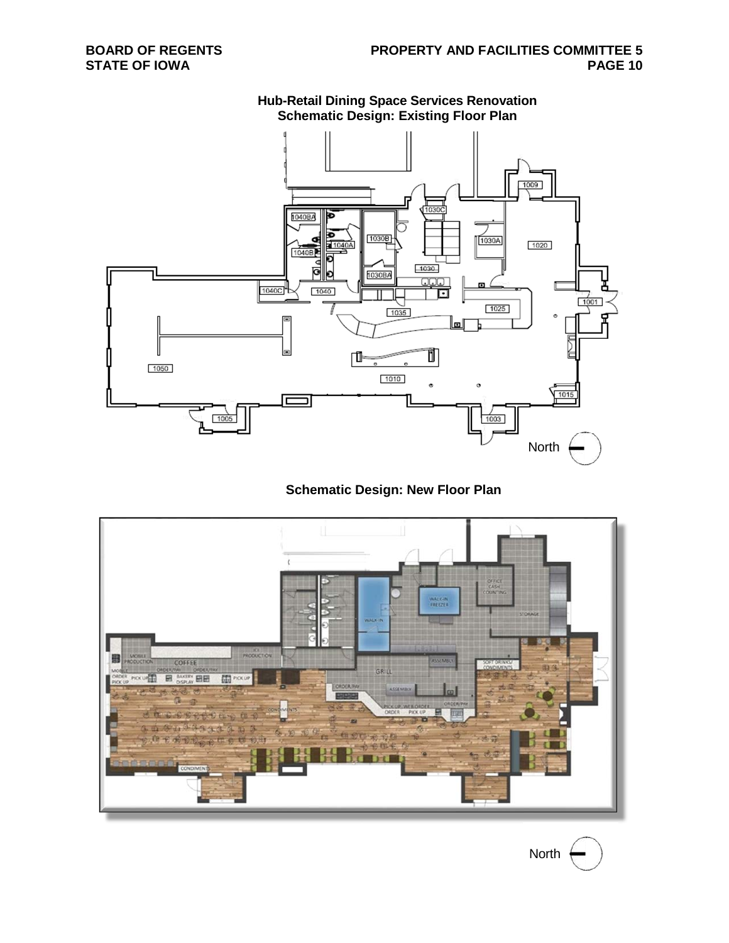

**Hub-Retail Dining Space Services Renovation Schematic Design: Existing Floor Plan**

## **Schematic Design: New Floor Plan**



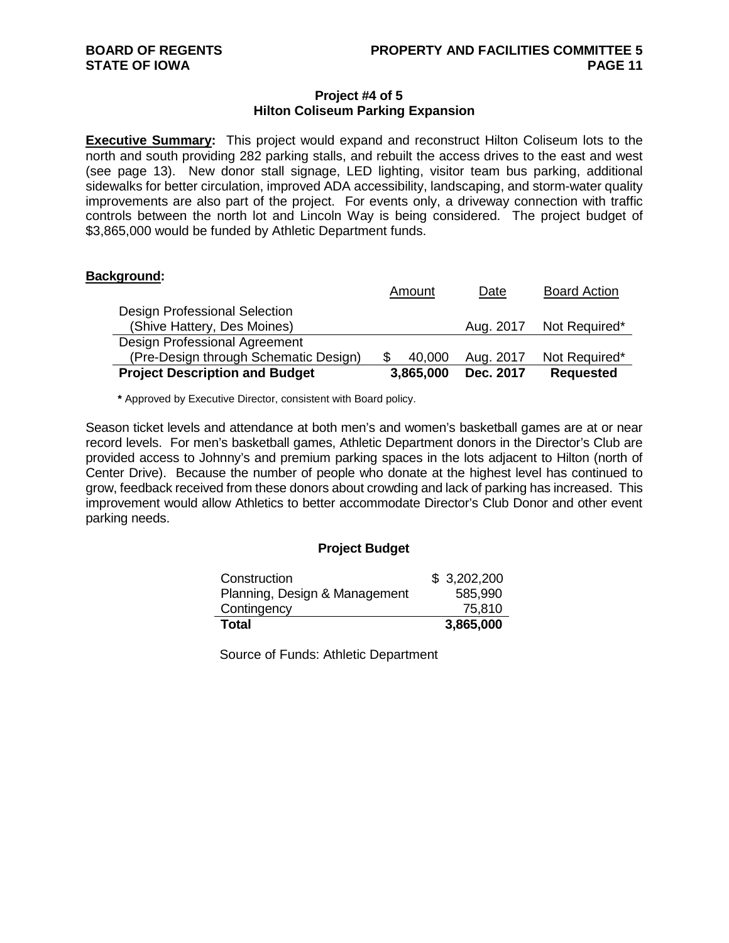#### **Project #4 of 5 Hilton Coliseum Parking Expansion**

**Executive Summary:** This project would expand and reconstruct Hilton Coliseum lots to the north and south providing 282 parking stalls, and rebuilt the access drives to the east and west (see page 13). New donor stall signage, LED lighting, visitor team bus parking, additional sidewalks for better circulation, improved ADA accessibility, landscaping, and storm-water quality improvements are also part of the project. For events only, a driveway connection with traffic controls between the north lot and Lincoln Way is being considered. The project budget of \$3,865,000 would be funded by Athletic Department funds.

#### **Background:**

|                                       | Amount    | Date      | <b>Board Action</b> |
|---------------------------------------|-----------|-----------|---------------------|
| Design Professional Selection         |           |           |                     |
| (Shive Hattery, Des Moines)           |           | Aug. 2017 | Not Required*       |
| Design Professional Agreement         |           |           |                     |
| (Pre-Design through Schematic Design) | 40,000    | Aug. 2017 | Not Required*       |
| <b>Project Description and Budget</b> | 3,865,000 | Dec. 2017 | <b>Requested</b>    |

**\*** Approved by Executive Director, consistent with Board policy.

Season ticket levels and attendance at both men's and women's basketball games are at or near record levels. For men's basketball games, Athletic Department donors in the Director's Club are provided access to Johnny's and premium parking spaces in the lots adjacent to Hilton (north of Center Drive). Because the number of people who donate at the highest level has continued to grow, feedback received from these donors about crowding and lack of parking has increased. This improvement would allow Athletics to better accommodate Director's Club Donor and other event parking needs.

#### **Project Budget**

| Construction                  | \$3,202,200 |
|-------------------------------|-------------|
| Planning, Design & Management | 585,990     |
| Contingency                   | 75,810      |
| Total                         | 3,865,000   |

Source of Funds: Athletic Department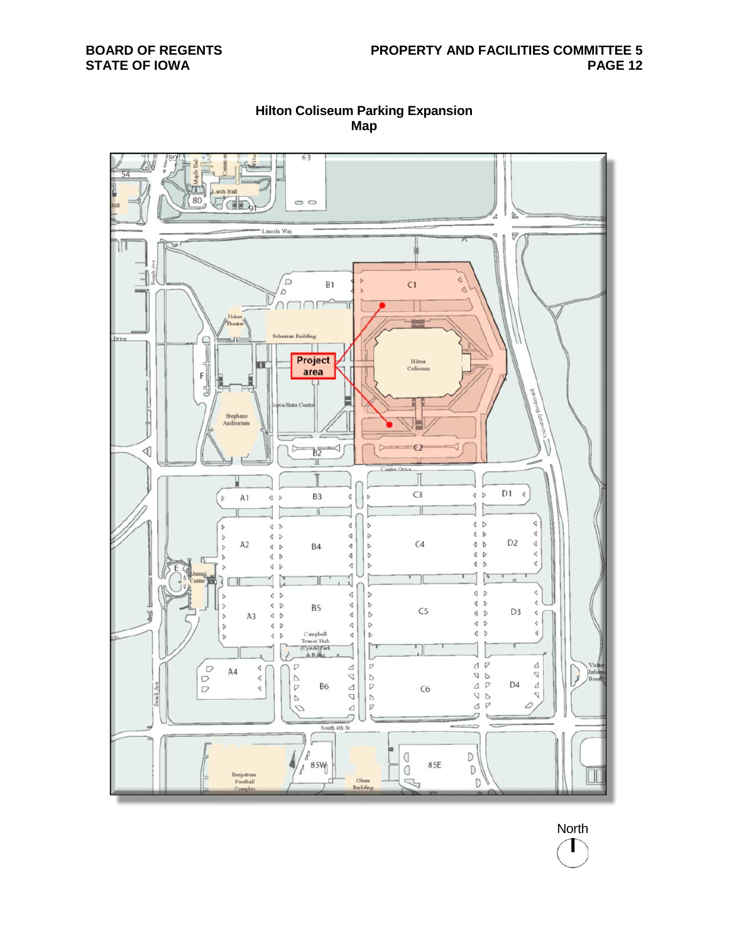

**Hilton Coliseum Parking Expansion Map**

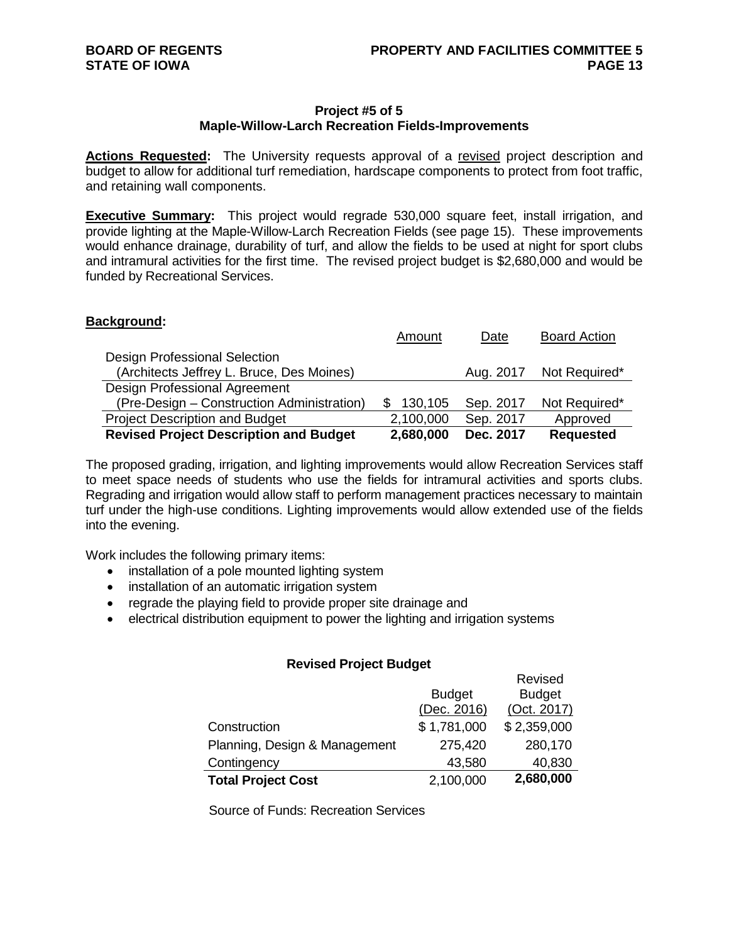#### **Project #5 of 5 Maple-Willow-Larch Recreation Fields-Improvements**

**Actions Requested:** The University requests approval of a revised project description and budget to allow for additional turf remediation, hardscape components to protect from foot traffic, and retaining wall components.

**Executive Summary:** This project would regrade 530,000 square feet, install irrigation, and provide lighting at the Maple-Willow-Larch Recreation Fields (see page 15). These improvements would enhance drainage, durability of turf, and allow the fields to be used at night for sport clubs and intramural activities for the first time. The revised project budget is \$2,680,000 and would be funded by Recreational Services.

#### **Background:**

| <b>Revised Project Description and Budget</b> | 2,680,000 | Dec. 2017 | <b>Requested</b>    |
|-----------------------------------------------|-----------|-----------|---------------------|
| <b>Project Description and Budget</b>         | 2,100,000 | Sep. 2017 | Approved            |
| (Pre-Design – Construction Administration)    | 130,105   | Sep. 2017 | Not Required*       |
| Design Professional Agreement                 |           |           |                     |
| (Architects Jeffrey L. Bruce, Des Moines)     |           | Aug. 2017 | Not Required*       |
| <b>Design Professional Selection</b>          |           |           |                     |
|                                               | Amount    | Date      | <b>Board Action</b> |

The proposed grading, irrigation, and lighting improvements would allow Recreation Services staff to meet space needs of students who use the fields for intramural activities and sports clubs. Regrading and irrigation would allow staff to perform management practices necessary to maintain turf under the high-use conditions. Lighting improvements would allow extended use of the fields into the evening.

Work includes the following primary items:

- installation of a pole mounted lighting system
- installation of an automatic irrigation system
- regrade the playing field to provide proper site drainage and
- electrical distribution equipment to power the lighting and irrigation systems

#### **Revised Project Budget**

|                               |               | Revised       |
|-------------------------------|---------------|---------------|
|                               | <b>Budget</b> | <b>Budget</b> |
|                               | (Dec. 2016)   | (Oct. 2017)   |
| Construction                  | \$1,781,000   | \$2,359,000   |
| Planning, Design & Management | 275,420       | 280,170       |
| Contingency                   | 43,580        | 40,830        |
| <b>Total Project Cost</b>     | 2,100,000     | 2,680,000     |

Source of Funds: Recreation Services